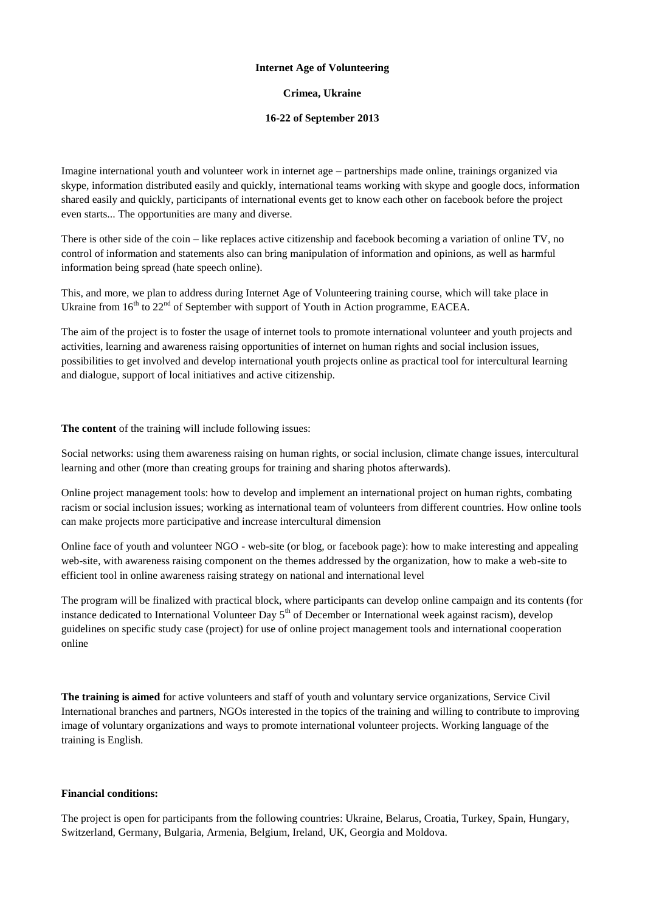# **Internet Age of Volunteering**

# **Crimea, Ukraine**

# **16-22 of September 2013**

Imagine international youth and volunteer work in internet age – partnerships made online, trainings organized via skype, information distributed easily and quickly, international teams working with skype and google docs, information shared easily and quickly, participants of international events get to know each other on facebook before the project even starts... The opportunities are many and diverse.

There is other side of the coin – like replaces active citizenship and facebook becoming a variation of online TV, no control of information and statements also can bring manipulation of information and opinions, as well as harmful information being spread (hate speech online).

This, and more, we plan to address during Internet Age of Volunteering training course, which will take place in Ukraine from  $16<sup>th</sup>$  to  $22<sup>nd</sup>$  of September with support of Youth in Action programme, EACEA.

The aim of the project is to foster the usage of internet tools to promote international volunteer and youth projects and activities, learning and awareness raising opportunities of internet on human rights and social inclusion issues, possibilities to get involved and develop international youth projects online as practical tool for intercultural learning and dialogue, support of local initiatives and active citizenship.

# **The content** of the training will include following issues:

Social networks: using them awareness raising on human rights, or social inclusion, climate change issues, intercultural learning and other (more than creating groups for training and sharing photos afterwards).

Online project management tools: how to develop and implement an international project on human rights, combating racism or social inclusion issues; working as international team of volunteers from different countries. How online tools can make projects more participative and increase intercultural dimension

Online face of youth and volunteer NGO - web-site (or blog, or facebook page): how to make interesting and appealing web-site, with awareness raising component on the themes addressed by the organization, how to make a web-site to efficient tool in online awareness raising strategy on national and international level

The program will be finalized with practical block, where participants can develop online campaign and its contents (for instance dedicated to International Volunteer Day  $5<sup>th</sup>$  of December or International week against racism), develop guidelines on specific study case (project) for use of online project management tools and international cooperation online

**The training is aimed** for active volunteers and staff of youth and voluntary service organizations, Service Civil International branches and partners, NGOs interested in the topics of the training and willing to contribute to improving image of voluntary organizations and ways to promote international volunteer projects. Working language of the training is English.

# **Financial conditions:**

The project is open for participants from the following countries: Ukraine, Belarus, Croatia, Turkey, Spain, Hungary, Switzerland, Germany, Bulgaria, Armenia, Belgium, Ireland, UK, Georgia and Moldova.